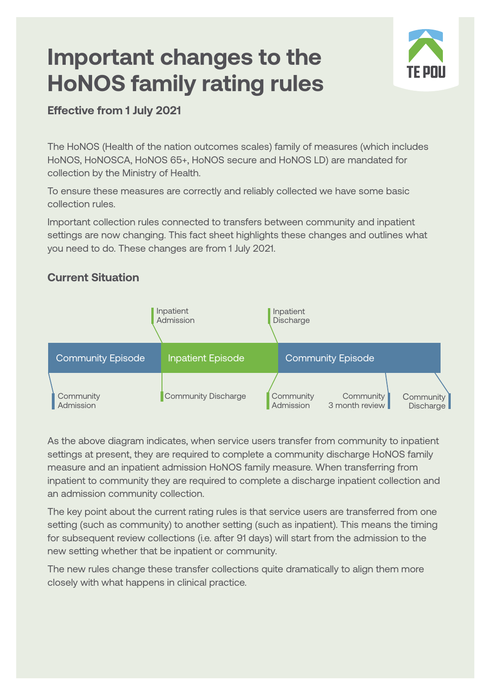# **Important changes to the HoNOS family rating rules**



#### **Effective from 1 July 2021**

The HoNOS (Health of the nation outcomes scales) family of measures (which includes HoNOS, HoNOSCA, HoNOS 65+, HoNOS secure and HoNOS LD) are mandated for collection by the Ministry of Health.

To ensure these measures are correctly and reliably collected we have some basic collection rules.

Important collection rules connected to transfers between community and inpatient settings are now changing. This fact sheet highlights these changes and outlines what you need to do. These changes are from 1 July 2021.

#### **Current Situation**



As the above diagram indicates, when service users transfer from community to inpatient settings at present, they are required to complete a community discharge HoNOS family measure and an inpatient admission HoNOS family measure. When transferring from inpatient to community they are required to complete a discharge inpatient collection and an admission community collection.

The key point about the current rating rules is that service users are transferred from one setting (such as community) to another setting (such as inpatient). This means the timing for subsequent review collections (i.e. after 91 days) will start from the admission to the new setting whether that be inpatient or community.

The new rules change these transfer collections quite dramatically to align them more closely with what happens in clinical practice.